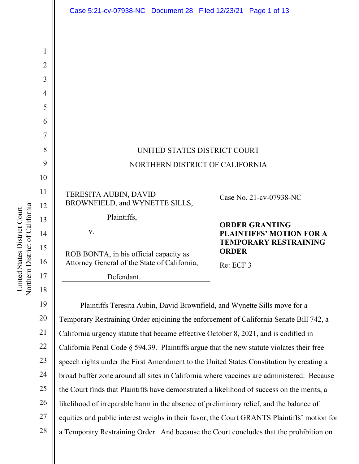|                | Case 5:21-cv-07938-NC Document 28 Filed 12/23/21 Page 1 of 13                                |              |                                 |
|----------------|----------------------------------------------------------------------------------------------|--------------|---------------------------------|
|                |                                                                                              |              |                                 |
| 1              |                                                                                              |              |                                 |
| $\overline{2}$ |                                                                                              |              |                                 |
| 3              |                                                                                              |              |                                 |
| 4              |                                                                                              |              |                                 |
| 5              |                                                                                              |              |                                 |
| 6              |                                                                                              |              |                                 |
| 7              |                                                                                              |              |                                 |
| 8              | UNITED STATES DISTRICT COURT                                                                 |              |                                 |
| 9              | NORTHERN DISTRICT OF CALIFORNIA                                                              |              |                                 |
| 10             |                                                                                              |              |                                 |
| 11             | TERESITA AUBIN, DAVID                                                                        |              | Case No. 21-cv-07938-NC         |
| 12             | BROWNFIELD, and WYNETTE SILLS,                                                               |              |                                 |
| 13             | Plaintiffs,                                                                                  |              | <b>ORDER GRANTING</b>           |
| 14             | V.                                                                                           |              | <b>PLAINTIFFS' MOTION FOR A</b> |
| 15             | ROB BONTA, in his official capacity as                                                       | <b>ORDER</b> | <b>TEMPORARY RESTRAINING</b>    |
| 16             | Attorney General of the State of California,                                                 | Re: ECF 3    |                                 |
| 17             | Defendant.                                                                                   |              |                                 |
| 18             |                                                                                              |              |                                 |
| 19             | Plaintiffs Teresita Aubin, David Brownfield, and Wynette Sills move for a                    |              |                                 |
| 20             | Temporary Restraining Order enjoining the enforcement of California Senate Bill 742, a       |              |                                 |
| 21             | California urgency statute that became effective October 8, 2021, and is codified in         |              |                                 |
| 22             | California Penal Code $\S$ 594.39. Plaintiffs argue that the new statute violates their free |              |                                 |
| 23             | speech rights under the First Amendment to the United States Constitution by creating a      |              |                                 |

24 broad buffer zone around all sites in California where vaccines are administered. Because

25 the Court finds that Plaintiffs have demonstrated a likelihood of success on the merits, a

26 likelihood of irreparable harm in the absence of preliminary relief, and the balance of

27 equities and public interest weighs in their favor, the Court GRANTS Plaintiffs' motion for

28 a Temporary Restraining Order. And because the Court concludes that the prohibition on

Northern District of California Northern District of California United States District Court United States District Court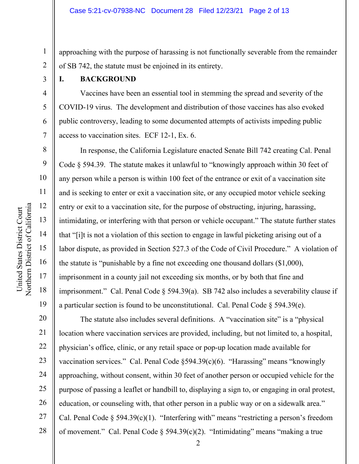approaching with the purpose of harassing is not functionally severable from the remainder of SB 742, the statute must be enjoined in its entirety.

3

1

2

4

5

6

7

8

9

10

11

12

13

14

15

16

17

18

19

#### **I. BACKGROUND**

 Vaccines have been an essential tool in stemming the spread and severity of the COVID-19 virus. The development and distribution of those vaccines has also evoked public controversy, leading to some documented attempts of activists impeding public access to vaccination sites. ECF 12-1, Ex. 6.

 In response, the California Legislature enacted Senate Bill 742 creating Cal. Penal Code § 594.39. The statute makes it unlawful to "knowingly approach within 30 feet of any person while a person is within 100 feet of the entrance or exit of a vaccination site and is seeking to enter or exit a vaccination site, or any occupied motor vehicle seeking entry or exit to a vaccination site, for the purpose of obstructing, injuring, harassing, intimidating, or interfering with that person or vehicle occupant." The statute further states that "[i]t is not a violation of this section to engage in lawful picketing arising out of a labor dispute, as provided in Section 527.3 of the Code of Civil Procedure." A violation of the statute is "punishable by a fine not exceeding one thousand dollars (\$1,000), imprisonment in a county jail not exceeding six months, or by both that fine and imprisonment." Cal. Penal Code § 594.39(a). SB 742 also includes a severability clause if a particular section is found to be unconstitutional. Cal. Penal Code  $\S$  594.39(e).

20 21 22 23 24 25 26 27 28 The statute also includes several definitions. A "vaccination site" is a "physical location where vaccination services are provided, including, but not limited to, a hospital, physician's office, clinic, or any retail space or pop-up location made available for vaccination services." Cal. Penal Code §594.39(c)(6). "Harassing" means "knowingly approaching, without consent, within 30 feet of another person or occupied vehicle for the purpose of passing a leaflet or handbill to, displaying a sign to, or engaging in oral protest, education, or counseling with, that other person in a public way or on a sidewalk area." Cal. Penal Code  $\S$  594.39(c)(1). "Interfering with" means "restricting a person's freedom of movement." Cal. Penal Code  $\S$  594.39(c)(2). "Intimidating" means "making a true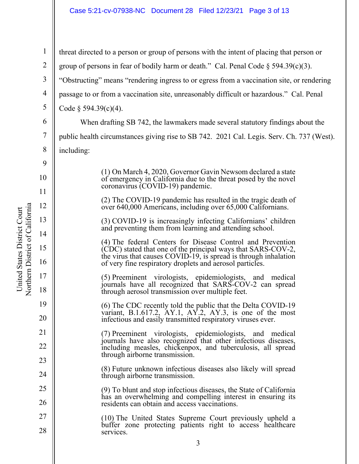3 1 2 3 4 5 6 7 8 9 10 11 12 13 14 15 16 17 18 19 20 21 22 23 24 25 26 27 28 threat directed to a person or group of persons with the intent of placing that person or group of persons in fear of bodily harm or death." Cal. Penal Code  $\S$  594.39(c)(3). "Obstructing" means "rendering ingress to or egress from a vaccination site, or rendering passage to or from a vaccination site, unreasonably difficult or hazardous." Cal. Penal Code  $\S$  594.39(c)(4). When drafting SB 742, the lawmakers made several statutory findings about the public health circumstances giving rise to SB 742. 2021 Cal. Legis. Serv. Ch. 737 (West). including: (1) On March 4, 2020, Governor Gavin Newsom declared a state of emergency in California due to the threat posed by the novel coronavirus (COVID-19) pandemic. (2) The COVID-19 pandemic has resulted in the tragic death of over 640,000 Americans, including over 65,000 Californians. (3) COVID-19 is increasingly infecting Californians' children and preventing them from learning and attending school. (4) The federal Centers for Disease Control and Prevention (CDC) stated that one of the principal ways that SARS-COV-2, the virus that causes COVID-19, is spread is through inhalation of very fine respiratory droplets and aerosol particles. (5) Preeminent virologists, epidemiologists, and medical journals have all recognized that SARS-COV-2 can spread through aerosol transmission over multiple feet. (6) The CDC recently told the public that the Delta COVID-19 variant, B.1.617.2,  $AY.1$ ,  $AY.2$ ,  $AY.3$ , is one of the most infectious and easily transmitted respiratory viruses ever. (7) Preeminent virologists, epidemiologists, and medical journals have also recognized that other infectious diseases, including measles, chickenpox, and tuberculosis, all spread through airborne transmission. (8) Future unknown infectious diseases also likely will spread through airborne transmission. (9) To blunt and stop infectious diseases, the State of California has an overwhelming and compelling interest in ensuring its residents can obtain and access vaccinations. (10) The United States Supreme Court previously upheld a buffer zone protecting patients right to access healthcare services.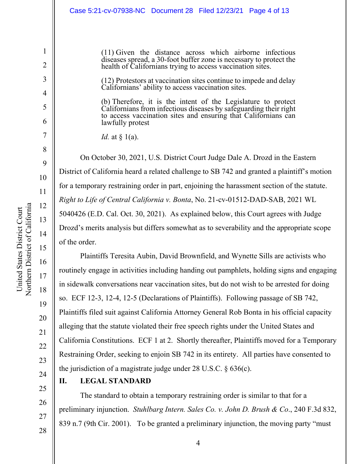Case 5:21-cv-07938-NC Document 28 Filed 12/23/21 Page 4 of 13

(11) Given the distance across which airborne infectious diseases spread, a 30-foot buffer zone is necessary to protect the health of Californians trying to access vaccination sites.

(12) Protestors at vaccination sites continue to impede and delay Californians' ability to access vaccination sites.

(b) Therefore, it is the intent of the Legislature to protect Californians from infectious diseases by safeguarding their right to access vaccination sites and ensuring that Californians can lawfully protest

*Id.* at § 1(a).

On October 30, 2021, U.S. District Court Judge Dale A. Drozd in the Eastern District of California heard a related challenge to SB 742 and granted a plaintiff's motion for a temporary restraining order in part, enjoining the harassment section of the statute. *Right to Life of Central California v. Bonta*, No. 21-cv-01512-DAD-SAB, 2021 WL 5040426 (E.D. Cal. Oct. 30, 2021). As explained below, this Court agrees with Judge Drozd's merits analysis but differs somewhat as to severability and the appropriate scope of the order.

 Plaintiffs Teresita Aubin, David Brownfield, and Wynette Sills are activists who routinely engage in activities including handing out pamphlets, holding signs and engaging in sidewalk conversations near vaccination sites, but do not wish to be arrested for doing so. ECF 12-3, 12-4, 12-5 (Declarations of Plaintiffs). Following passage of SB 742, Plaintiffs filed suit against California Attorney General Rob Bonta in his official capacity alleging that the statute violated their free speech rights under the United States and California Constitutions. ECF 1 at 2. Shortly thereafter, Plaintiffs moved for a Temporary Restraining Order, seeking to enjoin SB 742 in its entirety. All parties have consented to the jurisdiction of a magistrate judge under 28 U.S.C. § 636(c).

25

20

United States District Court

United States District Court

21

22

23

24

26

27

28

## **II. LEGAL STANDARD**

 The standard to obtain a temporary restraining order is similar to that for a preliminary injunction. *Stuhlbarg Intern. Sales Co. v. John D. Brush & Co*., 240 F.3d 832, 839 n.7 (9th Cir. 2001). To be granted a preliminary injunction, the moving party "must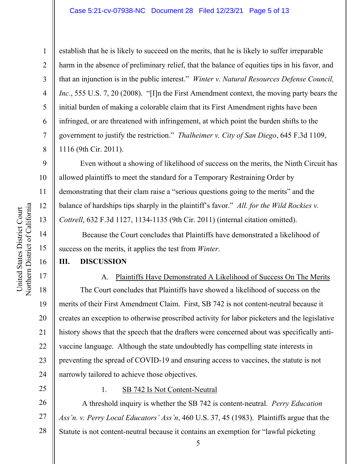establish that he is likely to succeed on the merits, that he is likely to suffer irreparable harm in the absence of preliminary relief, that the balance of equities tips in his favor, and that an injunction is in the public interest." *Winter v. Natural Resources Defense Council, Inc.*, 555 U.S. 7, 20 (2008). "[I]n the First Amendment context, the moving party bears the initial burden of making a colorable claim that its First Amendment rights have been infringed, or are threatened with infringement, at which point the burden shifts to the government to justify the restriction." *Thalheimer v. City of San Diego*, 645 F.3d 1109, 1116 (9th Cir. 2011).

 Even without a showing of likelihood of success on the merits, the Ninth Circuit has allowed plaintiffs to meet the standard for a Temporary Restraining Order by demonstrating that their clam raise a "serious questions going to the merits" and the balance of hardships tips sharply in the plaintiff's favor." *All. for the Wild Rockies v. Cottrell*, 632 F.3d 1127, 1134-1135 (9th Cir. 2011) (internal citation omitted).

 Because the Court concludes that Plaintiffs have demonstrated a likelihood of success on the merits, it applies the test from *Winter*.

#### **III. DISCUSSION**

A. Plaintiffs Have Demonstrated A Likelihood of Success On The Merits The Court concludes that Plaintiffs have showed a likelihood of success on the merits of their First Amendment Claim. First, SB 742 is not content-neutral because it creates an exception to otherwise proscribed activity for labor picketers and the legislative history shows that the speech that the drafters were concerned about was specifically antivaccine language. Although the state undoubtedly has compelling state interests in preventing the spread of COVID-19 and ensuring access to vaccines, the statute is not narrowly tailored to achieve those objectives.

25

1. SB 742 Is Not Content-Neutral

26 27 28 A threshold inquiry is whether the SB 742 is content-neutral. *Perry Education Ass'n. v. Perry Local Educators' Ass'n*, 460 U.S. 37, 45 (1983). Plaintiffs argue that the Statute is not content-neutral because it contains an exemption for "lawful picketing

1

2

3

4

5

6

7

8

9

10

11

12

13

14

15

16

17

18

19

20

21

22

23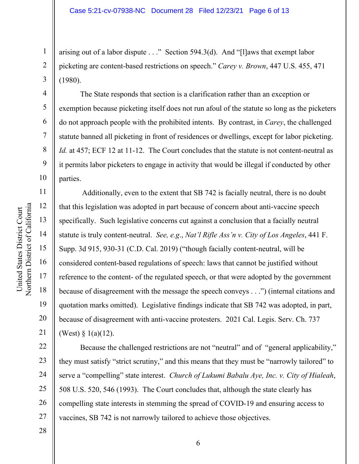arising out of a labor dispute . . ." Section 594.3(d). And "[l]aws that exempt labor picketing are content-based restrictions on speech." *Carey v. Brown*, 447 U.S. 455, 471 (1980).

The State responds that section is a clarification rather than an exception or exemption because picketing itself does not run afoul of the statute so long as the picketers do not approach people with the prohibited intents. By contrast, in *Carey*, the challenged statute banned all picketing in front of residences or dwellings, except for labor picketing. *Id.* at 457; ECF 12 at 11-12. The Court concludes that the statute is not content-neutral as it permits labor picketers to engage in activity that would be illegal if conducted by other parties.

 Additionally, even to the extent that SB 742 is facially neutral, there is no doubt that this legislation was adopted in part because of concern about anti-vaccine speech specifically. Such legislative concerns cut against a conclusion that a facially neutral statute is truly content-neutral. *See, e.g*., *Nat'l Rifle Ass'n v. City of Los Angeles*, 441 F. Supp. 3d 915, 930-31 (C.D. Cal. 2019) ("though facially content-neutral, will be considered content-based regulations of speech: laws that cannot be justified without reference to the content- of the regulated speech, or that were adopted by the government because of disagreement with the message the speech conveys . . .") (internal citations and quotation marks omitted). Legislative findings indicate that SB 742 was adopted, in part, because of disagreement with anti-vaccine protesters. 2021 Cal. Legis. Serv. Ch. 737 (West) § 1(a)(12).

22 23 24 25 26 27 Because the challenged restrictions are not "neutral" and of "general applicability," they must satisfy "strict scrutiny," and this means that they must be "narrowly tailored" to serve a "compelling" state interest. *Church of Lukumi Babalu Aye, Inc. v. City of Hialeah*, 508 U.S. 520, 546 (1993). The Court concludes that, although the state clearly has compelling state interests in stemming the spread of COVID-19 and ensuring access to vaccines, SB 742 is not narrowly tailored to achieve those objectives.

Northern District of California Northern District of California United States District Court United States District Court

1

2

3

4

5

6

7

8

9

10

11

12

13

14

15

16

17

18

19

20

21

6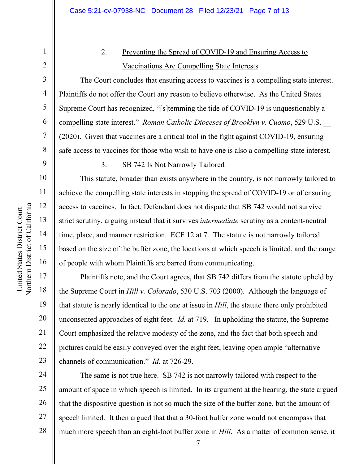# 2. Preventing the Spread of COVID-19 and Ensuring Access to Vaccinations Are Compelling State Interests

 The Court concludes that ensuring access to vaccines is a compelling state interest. Plaintiffs do not offer the Court any reason to believe otherwise. As the United States Supreme Court has recognized, "[s]temming the tide of COVID-19 is unquestionably a compelling state interest." *Roman Catholic Dioceses of Brooklyn v. Cuomo*, 529 U.S. \_\_ (2020). Given that vaccines are a critical tool in the fight against COVID-19, ensuring safe access to vaccines for those who wish to have one is also a compelling state interest.

## 9

10

11

12

13

14

15

16

17

18

19

20

21

22

23

## 3. SB 742 Is Not Narrowly Tailored

This statute, broader than exists anywhere in the country, is not narrowly tailored to achieve the compelling state interests in stopping the spread of COVID-19 or of ensuring access to vaccines. In fact, Defendant does not dispute that SB 742 would not survive strict scrutiny, arguing instead that it survives *intermediate* scrutiny as a content-neutral time, place, and manner restriction. ECF 12 at 7. The statute is not narrowly tailored based on the size of the buffer zone, the locations at which speech is limited, and the range of people with whom Plaintiffs are barred from communicating.

Plaintiffs note, and the Court agrees, that SB 742 differs from the statute upheld by the Supreme Court in *Hill v. Colorado*, 530 U.S. 703 (2000). Although the language of that statute is nearly identical to the one at issue in *Hill*, the statute there only prohibited unconsented approaches of eight feet. *Id.* at 719. In upholding the statute, the Supreme Court emphasized the relative modesty of the zone, and the fact that both speech and pictures could be easily conveyed over the eight feet, leaving open ample "alternative channels of communication." *Id.* at 726-29.

24 25 26 27 28 The same is not true here. SB 742 is not narrowly tailored with respect to the amount of space in which speech is limited. In its argument at the hearing, the state argued that the dispositive question is not so much the size of the buffer zone, but the amount of speech limited. It then argued that that a 30-foot buffer zone would not encompass that much more speech than an eight-foot buffer zone in *Hill*. As a matter of common sense, it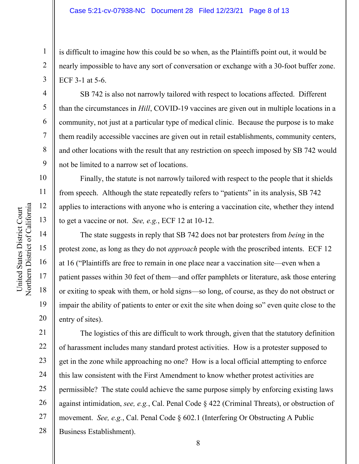is difficult to imagine how this could be so when, as the Plaintiffs point out, it would be nearly impossible to have any sort of conversation or exchange with a 30-foot buffer zone. ECF 3-1 at 5-6.

SB 742 is also not narrowly tailored with respect to locations affected. Different than the circumstances in *Hill*, COVID-19 vaccines are given out in multiple locations in a community, not just at a particular type of medical clinic. Because the purpose is to make them readily accessible vaccines are given out in retail establishments, community centers, and other locations with the result that any restriction on speech imposed by SB 742 would not be limited to a narrow set of locations.

Finally, the statute is not narrowly tailored with respect to the people that it shields from speech. Although the state repeatedly refers to "patients" in its analysis, SB 742 applies to interactions with anyone who is entering a vaccination cite, whether they intend to get a vaccine or not. *See, e.g.*, ECF 12 at 10-12.

The state suggests in reply that SB 742 does not bar protesters from *being* in the protest zone, as long as they do not *approach* people with the proscribed intents. ECF 12 at 16 ("Plaintiffs are free to remain in one place near a vaccination site—even when a patient passes within 30 feet of them—and offer pamphlets or literature, ask those entering or exiting to speak with them, or hold signs—so long, of course, as they do not obstruct or impair the ability of patients to enter or exit the site when doing so" even quite close to the entry of sites).

21 22 23 24 25 26 27 28 The logistics of this are difficult to work through, given that the statutory definition of harassment includes many standard protest activities. How is a protester supposed to get in the zone while approaching no one? How is a local official attempting to enforce this law consistent with the First Amendment to know whether protest activities are permissible? The state could achieve the same purpose simply by enforcing existing laws against intimidation, *see, e.g.*, Cal. Penal Code § 422 (Criminal Threats), or obstruction of movement. *See, e.g.*, Cal. Penal Code § 602.1 (Interfering Or Obstructing A Public Business Establishment).

1

2

3

4

5

6

7

8

9

10

11

12

13

14

15

16

17

18

19

20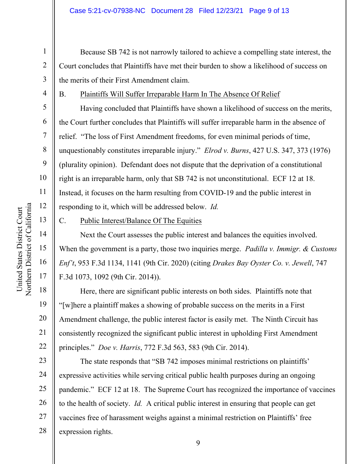Because SB 742 is not narrowly tailored to achieve a compelling state interest, the Court concludes that Plaintiffs have met their burden to show a likelihood of success on the merits of their First Amendment claim.

4

1

2

3

5

6

7

8

9

10

11

12

13

14

15

16

17

18

19

20

21

22

B. Plaintiffs Will Suffer Irreparable Harm In The Absence Of Relief

 Having concluded that Plaintiffs have shown a likelihood of success on the merits, the Court further concludes that Plaintiffs will suffer irreparable harm in the absence of relief. "The loss of First Amendment freedoms, for even minimal periods of time, unquestionably constitutes irreparable injury." *Elrod v. Burns*, 427 U.S. 347, 373 (1976) (plurality opinion). Defendant does not dispute that the deprivation of a constitutional right is an irreparable harm, only that SB 742 is not unconstitutional. ECF 12 at 18. Instead, it focuses on the harm resulting from COVID-19 and the public interest in responding to it, which will be addressed below. *Id.* 

C. Public Interest/Balance Of The Equities

Next the Court assesses the public interest and balances the equities involved. When the government is a party, those two inquiries merge. *Padilla v. Immigr. & Customs Enf't*, 953 F.3d 1134, 1141 (9th Cir. 2020) (citing *Drakes Bay Oyster Co. v. Jewell*, 747 F.3d 1073, 1092 (9th Cir. 2014)).

 Here, there are significant public interests on both sides. Plaintiffs note that "[w]here a plaintiff makes a showing of probable success on the merits in a First Amendment challenge, the public interest factor is easily met. The Ninth Circuit has consistently recognized the significant public interest in upholding First Amendment principles." *Doe v. Harris*, 772 F.3d 563, 583 (9th Cir. 2014).

23 24 25 26 27 28 The state responds that "SB 742 imposes minimal restrictions on plaintiffs' expressive activities while serving critical public health purposes during an ongoing pandemic." ECF 12 at 18. The Supreme Court has recognized the importance of vaccines to the health of society. *Id.* A critical public interest in ensuring that people can get vaccines free of harassment weighs against a minimal restriction on Plaintiffs' free expression rights.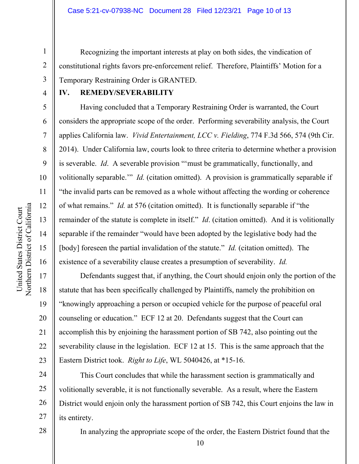Recognizing the important interests at play on both sides, the vindication of constitutional rights favors pre-enforcement relief. Therefore, Plaintiffs' Motion for a Temporary Restraining Order is GRANTED.

4

1

2

3

5

6

7

8

9

10

11

12

13

14

15

16

17

18

19

20

21

22

23

28

#### **IV. REMEDY/SEVERABILITY**

Having concluded that a Temporary Restraining Order is warranted, the Court considers the appropriate scope of the order. Performing severability analysis, the Court applies California law. *Vivid Entertainment, LCC v. Fielding*, 774 F.3d 566, 574 (9th Cir. 2014). Under California law, courts look to three criteria to determine whether a provision is severable. *Id*. A severable provision "'must be grammatically, functionally, and volitionally separable.'" *Id.* (citation omitted). A provision is grammatically separable if "the invalid parts can be removed as a whole without affecting the wording or coherence of what remains." *Id.* at 576 (citation omitted). It is functionally separable if "the remainder of the statute is complete in itself." *Id*. (citation omitted). And it is volitionally separable if the remainder "would have been adopted by the legislative body had the [body] foreseen the partial invalidation of the statute." *Id.* (citation omitted). The existence of a severability clause creates a presumption of severability. *Id.*

 Defendants suggest that, if anything, the Court should enjoin only the portion of the statute that has been specifically challenged by Plaintiffs, namely the prohibition on "knowingly approaching a person or occupied vehicle for the purpose of peaceful oral counseling or education." ECF 12 at 20. Defendants suggest that the Court can accomplish this by enjoining the harassment portion of SB 742, also pointing out the severability clause in the legislation. ECF 12 at 15. This is the same approach that the Eastern District took. *Right to Life*, WL 5040426, at \*15-16.

24 25 26 27 This Court concludes that while the harassment section is grammatically and volitionally severable, it is not functionally severable. As a result, where the Eastern District would enjoin only the harassment portion of SB 742, this Court enjoins the law in its entirety.

In analyzing the appropriate scope of the order, the Eastern District found that the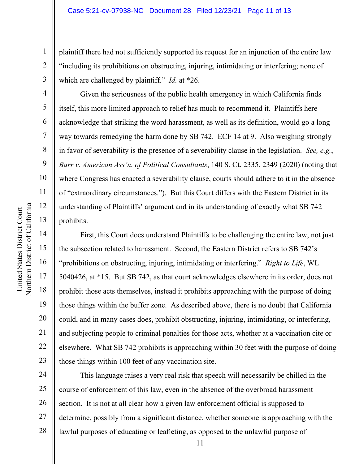plaintiff there had not sufficiently supported its request for an injunction of the entire law "including its prohibitions on obstructing, injuring, intimidating or interfering; none of which are challenged by plaintiff." *Id.* at \*26.

Given the seriousness of the public health emergency in which California finds itself, this more limited approach to relief has much to recommend it. Plaintiffs here acknowledge that striking the word harassment, as well as its definition, would go a long way towards remedying the harm done by SB 742. ECF 14 at 9. Also weighing strongly in favor of severability is the presence of a severability clause in the legislation. *See, e.g.*, *Barr v. American Ass'n. of Political Consultants*, 140 S. Ct. 2335, 2349 (2020) (noting that where Congress has enacted a severability clause, courts should adhere to it in the absence of "extraordinary circumstances."). But this Court differs with the Eastern District in its understanding of Plaintiffs' argument and in its understanding of exactly what SB 742 prohibits.

First, this Court does understand Plaintiffs to be challenging the entire law, not just the subsection related to harassment. Second, the Eastern District refers to SB 742's "prohibitions on obstructing, injuring, intimidating or interfering." *Right to Life*, WL 5040426, at \*15. But SB 742, as that court acknowledges elsewhere in its order, does not prohibit those acts themselves, instead it prohibits approaching with the purpose of doing those things within the buffer zone. As described above, there is no doubt that California could, and in many cases does, prohibit obstructing, injuring, intimidating, or interfering, and subjecting people to criminal penalties for those acts, whether at a vaccination cite or elsewhere. What SB 742 prohibits is approaching within 30 feet with the purpose of doing those things within 100 feet of any vaccination site.

24 25 26 27 28 This language raises a very real risk that speech will necessarily be chilled in the course of enforcement of this law, even in the absence of the overbroad harassment section. It is not at all clear how a given law enforcement official is supposed to determine, possibly from a significant distance, whether someone is approaching with the lawful purposes of educating or leafleting, as opposed to the unlawful purpose of

1

2

3

4

5

6

7

8

9

10

11

12

13

14

15

16

17

18

19

20

21

22

23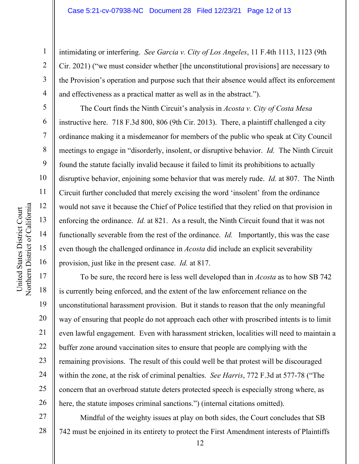intimidating or interfering. *See Garcia v. City of Los Angeles*, 11 F.4th 1113, 1123 (9th Cir. 2021) ("we must consider whether [the unconstitutional provisions] are necessary to the Provision's operation and purpose such that their absence would affect its enforcement and effectiveness as a practical matter as well as in the abstract.").

The Court finds the Ninth Circuit's analysis in *Acosta v. City of Costa Mesa*  instructive here. 718 F.3d 800, 806 (9th Cir. 2013). There, a plaintiff challenged a city ordinance making it a misdemeanor for members of the public who speak at City Council meetings to engage in "disorderly, insolent, or disruptive behavior. *Id.* The Ninth Circuit found the statute facially invalid because it failed to limit its prohibitions to actually disruptive behavior, enjoining some behavior that was merely rude. *Id.* at 807. The Ninth Circuit further concluded that merely excising the word 'insolent' from the ordinance would not save it because the Chief of Police testified that they relied on that provision in enforcing the ordinance. *Id.* at 821. As a result, the Ninth Circuit found that it was not functionally severable from the rest of the ordinance. *Id.* Importantly, this was the case even though the challenged ordinance in *Acosta* did include an explicit severability provision, just like in the present case. *Id.* at 817.

To be sure, the record here is less well developed than in *Acosta* as to how SB 742 is currently being enforced, and the extent of the law enforcement reliance on the unconstitutional harassment provision. But it stands to reason that the only meaningful way of ensuring that people do not approach each other with proscribed intents is to limit even lawful engagement. Even with harassment stricken, localities will need to maintain a buffer zone around vaccination sites to ensure that people are complying with the remaining provisions. The result of this could well be that protest will be discouraged within the zone, at the risk of criminal penalties. *See Harris*, 772 F.3d at 577-78 ("The concern that an overbroad statute deters protected speech is especially strong where, as here, the statute imposes criminal sanctions.") (internal citations omitted).

27 28 Mindful of the weighty issues at play on both sides, the Court concludes that SB 742 must be enjoined in its entirety to protect the First Amendment interests of Plaintiffs

1

2

3

4

5

6

7

8

9

10

11

12

13

14

15

16

17

18

19

20

21

22

23

24

25

26